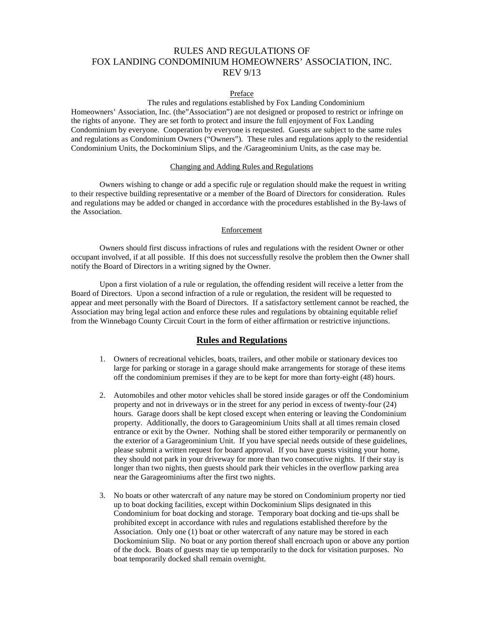# RULES AND REGULATIONS OF FOX LANDING CONDOMINIUM HOMEOWNERS' ASSOCIATION, INC. REV 9/13

#### Preface

The rules and regulations established by Fox Landing Condominium Homeowners' Association, Inc. (the"Association") are not designed or proposed to restrict or infringe on the rights of anyone. They are set forth to protect and insure the full enjoyment of Fox Landing Condominium by everyone. Cooperation by everyone is requested. Guests are subject to the same rules and regulations as Condominium Owners ("Owners"). These rules and regulations apply to the residential Condominium Units, the Dockominium Slips, and the /Garageominium Units, as the case may be.

### Changing and Adding Rules and Regulations

Owners wishing to change or add a specific rule or regulation should make the request in writing to their respective building representative or a member of the Board of Directors for consideration. Rules and regulations may be added or changed in accordance with the procedures established in the By-laws of the Association.

### Enforcement

Owners should first discuss infractions of rules and regulations with the resident Owner or other occupant involved, if at all possible. If this does not successfully resolve the problem then the Owner shall notify the Board of Directors in a writing signed by the Owner.

Upon a first violation of a rule or regulation, the offending resident will receive a letter from the Board of Directors. Upon a second infraction of a rule or regulation, the resident will be requested to appear and meet personally with the Board of Directors. If a satisfactory settlement cannot be reached, the Association may bring legal action and enforce these rules and regulations by obtaining equitable relief from the Winnebago County Circuit Court in the form of either affirmation or restrictive injunctions.

## **Rules and Regulations**

- 1. Owners of recreational vehicles, boats, trailers, and other mobile or stationary devices too large for parking or storage in a garage should make arrangements for storage of these items off the condominium premises if they are to be kept for more than forty-eight (48) hours.
- 2. Automobiles and other motor vehicles shall be stored inside garages or off the Condominium property and not in driveways or in the street for any period in excess of twenty-four (24) hours. Garage doors shall be kept closed except when entering or leaving the Condominium property. Additionally, the doors to Garageominium Units shall at all times remain closed entrance or exit by the Owner. Nothing shall be stored either temporarily or permanently on the exterior of a Garageominium Unit. If you have special needs outside of these guidelines, please submit a written request for board approval. If you have guests visiting your home, they should not park in your driveway for more than two consecutive nights. If their stay is longer than two nights, then guests should park their vehicles in the overflow parking area near the Garageominiums after the first two nights.
- 3. No boats or other watercraft of any nature may be stored on Condominium property nor tied up to boat docking facilities, except within Dockominium Slips designated in this Condominium for boat docking and storage. Temporary boat docking and tie-ups shall be prohibited except in accordance with rules and regulations established therefore by the Association. Only one (1) boat or other watercraft of any nature may be stored in each Dockominium Slip. No boat or any portion thereof shall encroach upon or above any portion of the dock. Boats of guests may tie up temporarily to the dock for visitation purposes. No boat temporarily docked shall remain overnight.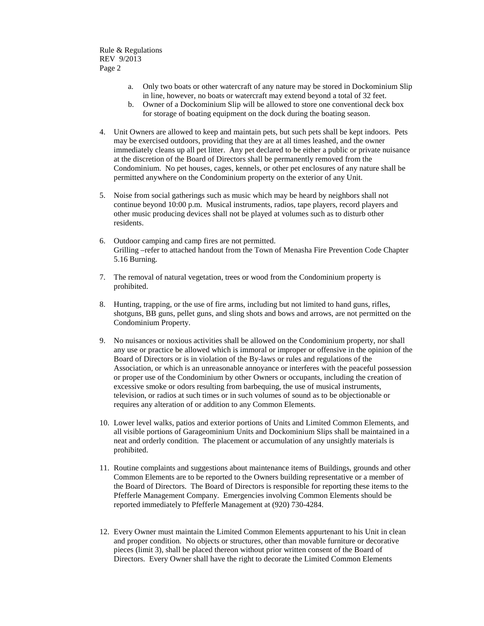- a. Only two boats or other watercraft of any nature may be stored in Dockominium Slip in line, however, no boats or watercraft may extend beyond a total of 32 feet.
- b. Owner of a Dockominium Slip will be allowed to store one conventional deck box for storage of boating equipment on the dock during the boating season.
- 4. Unit Owners are allowed to keep and maintain pets, but such pets shall be kept indoors. Pets may be exercised outdoors, providing that they are at all times leashed, and the owner immediately cleans up all pet litter. Any pet declared to be either a public or private nuisance at the discretion of the Board of Directors shall be permanently removed from the Condominium. No pet houses, cages, kennels, or other pet enclosures of any nature shall be permitted anywhere on the Condominium property on the exterior of any Unit.
- 5. Noise from social gatherings such as music which may be heard by neighbors shall not continue beyond 10:00 p.m. Musical instruments, radios, tape players, record players and other music producing devices shall not be played at volumes such as to disturb other residents.
- 6. Outdoor camping and camp fires are not permitted. Grilling –refer to attached handout from the Town of Menasha Fire Prevention Code Chapter 5.16 Burning.
- 7. The removal of natural vegetation, trees or wood from the Condominium property is prohibited.
- 8. Hunting, trapping, or the use of fire arms, including but not limited to hand guns, rifles, shotguns, BB guns, pellet guns, and sling shots and bows and arrows, are not permitted on the Condominium Property.
- 9. No nuisances or noxious activities shall be allowed on the Condominium property, nor shall any use or practice be allowed which is immoral or improper or offensive in the opinion of the Board of Directors or is in violation of the By-laws or rules and regulations of the Association, or which is an unreasonable annoyance or interferes with the peaceful possession or proper use of the Condominium by other Owners or occupants, including the creation of excessive smoke or odors resulting from barbequing, the use of musical instruments, television, or radios at such times or in such volumes of sound as to be objectionable or requires any alteration of or addition to any Common Elements.
- 10. Lower level walks, patios and exterior portions of Units and Limited Common Elements, and all visible portions of Garageominium Units and Dockominium Slips shall be maintained in a neat and orderly condition. The placement or accumulation of any unsightly materials is prohibited.
- 11. Routine complaints and suggestions about maintenance items of Buildings, grounds and other Common Elements are to be reported to the Owners building representative or a member of the Board of Directors. The Board of Directors is responsible for reporting these items to the Pfefferle Management Company. Emergencies involving Common Elements should be reported immediately to Pfefferle Management at (920) 730-4284.
- 12. Every Owner must maintain the Limited Common Elements appurtenant to his Unit in clean and proper condition. No objects or structures, other than movable furniture or decorative pieces (limit 3), shall be placed thereon without prior written consent of the Board of Directors. Every Owner shall have the right to decorate the Limited Common Elements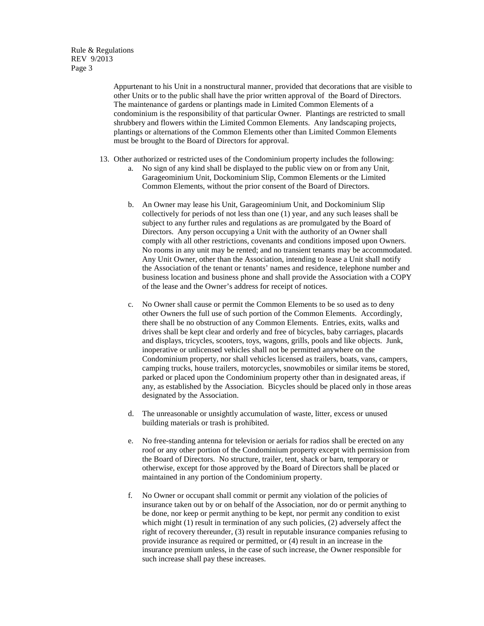Rule & Regulations REV 9/2013 Page 3

> Appurtenant to his Unit in a nonstructural manner, provided that decorations that are visible to other Units or to the public shall have the prior written approval of the Board of Directors. The maintenance of gardens or plantings made in Limited Common Elements of a condominium is the responsibility of that particular Owner. Plantings are restricted to small shrubbery and flowers within the Limited Common Elements. Any landscaping projects, plantings or alternations of the Common Elements other than Limited Common Elements must be brought to the Board of Directors for approval.

- 13. Other authorized or restricted uses of the Condominium property includes the following:
	- a. No sign of any kind shall be displayed to the public view on or from any Unit, Garageominium Unit, Dockominium Slip, Common Elements or the Limited Common Elements, without the prior consent of the Board of Directors.
	- b. An Owner may lease his Unit, Garageominium Unit, and Dockominium Slip collectively for periods of not less than one (1) year, and any such leases shall be subject to any further rules and regulations as are promulgated by the Board of Directors. Any person occupying a Unit with the authority of an Owner shall comply with all other restrictions, covenants and conditions imposed upon Owners. No rooms in any unit may be rented; and no transient tenants may be accommodated. Any Unit Owner, other than the Association, intending to lease a Unit shall notify the Association of the tenant or tenants' names and residence, telephone number and business location and business phone and shall provide the Association with a COPY of the lease and the Owner's address for receipt of notices.
	- c. No Owner shall cause or permit the Common Elements to be so used as to deny other Owners the full use of such portion of the Common Elements. Accordingly, there shall be no obstruction of any Common Elements. Entries, exits, walks and drives shall be kept clear and orderly and free of bicycles, baby carriages, placards and displays, tricycles, scooters, toys, wagons, grills, pools and like objects. Junk, inoperative or unlicensed vehicles shall not be permitted anywhere on the Condominium property, nor shall vehicles licensed as trailers, boats, vans, campers, camping trucks, house trailers, motorcycles, snowmobiles or similar items be stored, parked or placed upon the Condominium property other than in designated areas, if any, as established by the Association. Bicycles should be placed only in those areas designated by the Association.
	- d. The unreasonable or unsightly accumulation of waste, litter, excess or unused building materials or trash is prohibited.
	- e. No free-standing antenna for television or aerials for radios shall be erected on any roof or any other portion of the Condominium property except with permission from the Board of Directors. No structure, trailer, tent, shack or barn, temporary or otherwise, except for those approved by the Board of Directors shall be placed or maintained in any portion of the Condominium property.
	- f. No Owner or occupant shall commit or permit any violation of the policies of insurance taken out by or on behalf of the Association, nor do or permit anything to be done, nor keep or permit anything to be kept, nor permit any condition to exist which might (1) result in termination of any such policies, (2) adversely affect the right of recovery thereunder, (3) result in reputable insurance companies refusing to provide insurance as required or permitted, or (4) result in an increase in the insurance premium unless, in the case of such increase, the Owner responsible for such increase shall pay these increases.